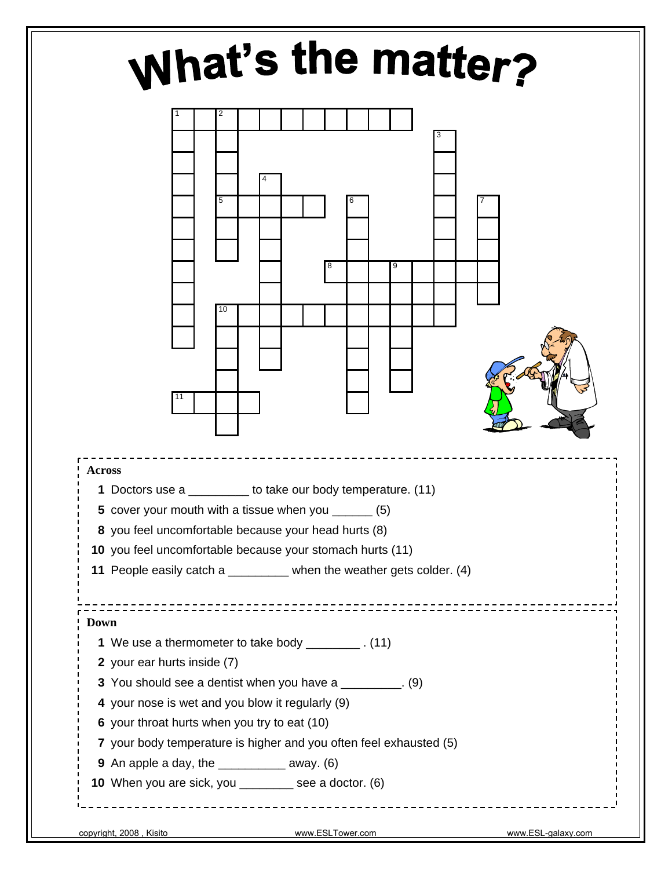